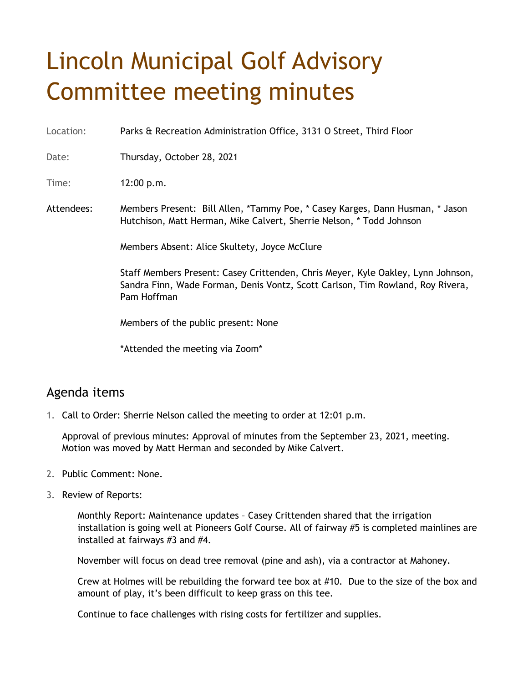## Lincoln Municipal Golf Advisory Committee meeting minutes

Location: Parks & Recreation Administration Office, 3131 O Street, Third Floor

Date: Thursday, October 28, 2021

Time: 12:00 p.m.

Attendees: Members Present: Bill Allen, \*Tammy Poe, \* Casey Karges, Dann Husman, \* Jason Hutchison, Matt Herman, Mike Calvert, Sherrie Nelson, \* Todd Johnson

Members Absent: Alice Skultety, Joyce McClure

Staff Members Present: Casey Crittenden, Chris Meyer, Kyle Oakley, Lynn Johnson, Sandra Finn, Wade Forman, Denis Vontz, Scott Carlson, Tim Rowland, Roy Rivera, Pam Hoffman

Members of the public present: None

\*Attended the meeting via Zoom\*

## Agenda items

1. Call to Order: Sherrie Nelson called the meeting to order at 12:01 p.m.

Approval of previous minutes: Approval of minutes from the September 23, 2021, meeting. Motion was moved by Matt Herman and seconded by Mike Calvert.

- 2. Public Comment: None.
- 3. Review of Reports:

Monthly Report: Maintenance updates – Casey Crittenden shared that the irrigation installation is going well at Pioneers Golf Course. All of fairway #5 is completed mainlines are installed at fairways #3 and #4.

November will focus on dead tree removal (pine and ash), via a contractor at Mahoney.

Crew at Holmes will be rebuilding the forward tee box at #10. Due to the size of the box and amount of play, it's been difficult to keep grass on this tee.

Continue to face challenges with rising costs for fertilizer and supplies.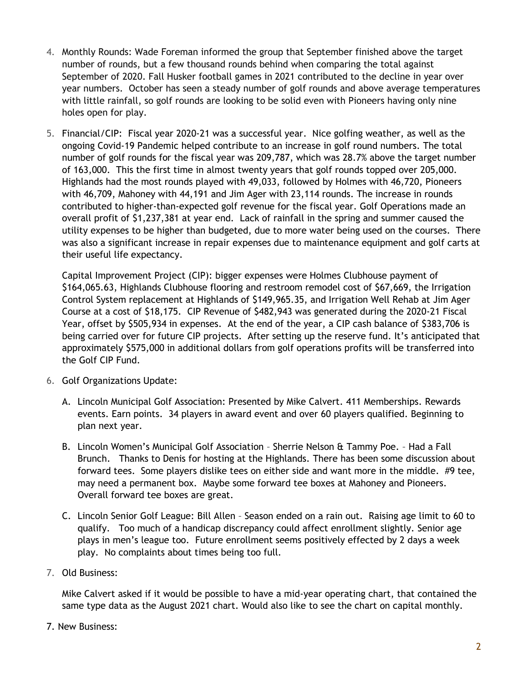- 4. Monthly Rounds: Wade Foreman informed the group that September finished above the target number of rounds, but a few thousand rounds behind when comparing the total against September of 2020. Fall Husker football games in 2021 contributed to the decline in year over year numbers. October has seen a steady number of golf rounds and above average temperatures with little rainfall, so golf rounds are looking to be solid even with Pioneers having only nine holes open for play.
- 5. Financial/CIP: Fiscal year 2020-21 was a successful year. Nice golfing weather, as well as the ongoing Covid-19 Pandemic helped contribute to an increase in golf round numbers. The total number of golf rounds for the fiscal year was 209,787, which was 28.7% above the target number of 163,000. This the first time in almost twenty years that golf rounds topped over 205,000. Highlands had the most rounds played with 49,033, followed by Holmes with 46,720, Pioneers with 46,709, Mahoney with 44,191 and Jim Ager with 23,114 rounds. The increase in rounds contributed to higher-than-expected golf revenue for the fiscal year. Golf Operations made an overall profit of \$1,237,381 at year end. Lack of rainfall in the spring and summer caused the utility expenses to be higher than budgeted, due to more water being used on the courses. There was also a significant increase in repair expenses due to maintenance equipment and golf carts at their useful life expectancy.

Capital Improvement Project (CIP): bigger expenses were Holmes Clubhouse payment of \$164,065.63, Highlands Clubhouse flooring and restroom remodel cost of \$67,669, the Irrigation Control System replacement at Highlands of \$149,965.35, and Irrigation Well Rehab at Jim Ager Course at a cost of \$18,175. CIP Revenue of \$482,943 was generated during the 2020-21 Fiscal Year, offset by \$505,934 in expenses. At the end of the year, a CIP cash balance of \$383,706 is being carried over for future CIP projects. After setting up the reserve fund. It's anticipated that approximately \$575,000 in additional dollars from golf operations profits will be transferred into the Golf CIP Fund.

- 6. Golf Organizations Update:
	- A. Lincoln Municipal Golf Association: Presented by Mike Calvert. 411 Memberships. Rewards events. Earn points. 34 players in award event and over 60 players qualified. Beginning to plan next year.
	- B. Lincoln Women's Municipal Golf Association Sherrie Nelson & Tammy Poe. Had a Fall Brunch. Thanks to Denis for hosting at the Highlands. There has been some discussion about forward tees. Some players dislike tees on either side and want more in the middle. #9 tee, may need a permanent box. Maybe some forward tee boxes at Mahoney and Pioneers. Overall forward tee boxes are great.
	- C. Lincoln Senior Golf League: Bill Allen Season ended on a rain out. Raising age limit to 60 to qualify. Too much of a handicap discrepancy could affect enrollment slightly. Senior age plays in men's league too. Future enrollment seems positively effected by 2 days a week play. No complaints about times being too full.
- 7. Old Business:

Mike Calvert asked if it would be possible to have a mid-year operating chart, that contained the same type data as the August 2021 chart. Would also like to see the chart on capital monthly.

7. New Business: